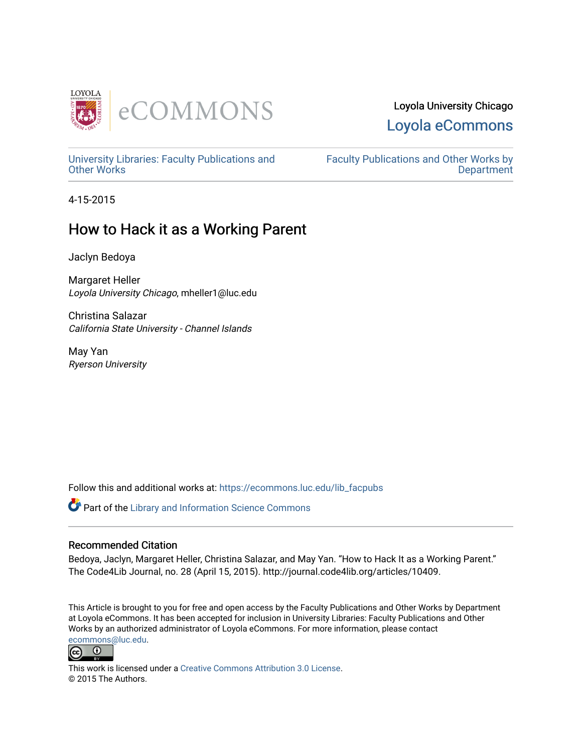

# Loyola University Chicago [Loyola eCommons](https://ecommons.luc.edu/)

[University Libraries: Faculty Publications and](https://ecommons.luc.edu/lib_facpubs) [Other Works](https://ecommons.luc.edu/lib_facpubs)

[Faculty Publications and Other Works by](https://ecommons.luc.edu/faculty)  **Department** 

4-15-2015

# How to Hack it as a Working Parent

Jaclyn Bedoya

Margaret Heller Loyola University Chicago, mheller1@luc.edu

Christina Salazar California State University - Channel Islands

May Yan Ryerson University

Follow this and additional works at: [https://ecommons.luc.edu/lib\\_facpubs](https://ecommons.luc.edu/lib_facpubs?utm_source=ecommons.luc.edu%2Flib_facpubs%2F31&utm_medium=PDF&utm_campaign=PDFCoverPages)

Part of the [Library and Information Science Commons](http://network.bepress.com/hgg/discipline/1018?utm_source=ecommons.luc.edu%2Flib_facpubs%2F31&utm_medium=PDF&utm_campaign=PDFCoverPages) 

# Recommended Citation

Bedoya, Jaclyn, Margaret Heller, Christina Salazar, and May Yan. "How to Hack It as a Working Parent." The Code4Lib Journal, no. 28 (April 15, 2015). http://journal.code4lib.org/articles/10409.

This Article is brought to you for free and open access by the Faculty Publications and Other Works by Department at Loyola eCommons. It has been accepted for inclusion in University Libraries: Faculty Publications and Other Works by an authorized administrator of Loyola eCommons. For more information, please contact [ecommons@luc.edu](mailto:ecommons@luc.edu).



This work is licensed under a [Creative Commons Attribution 3.0 License](https://creativecommons.org/licenses/by/3.0/). © 2015 The Authors.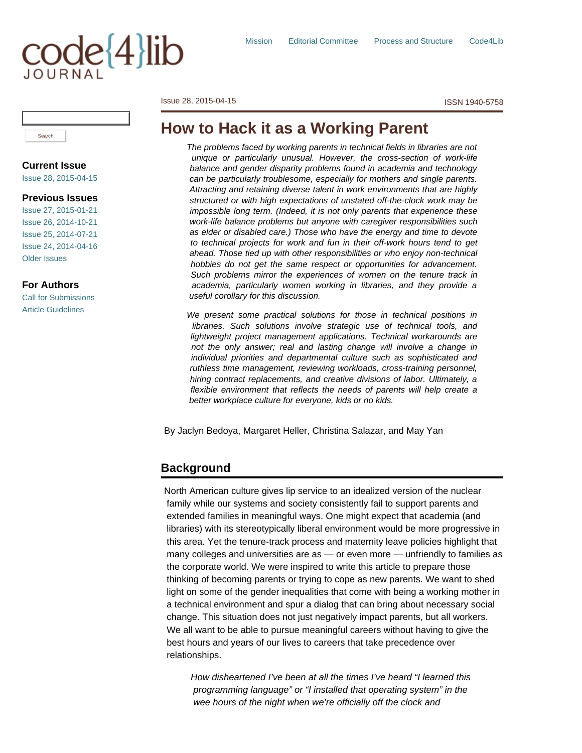# code{4}lib

[Issue 28, 2015-04-15](http://journal.code4lib.org/issues/issues/issue28) ISSN 1940-5758

# **How to Hack it as a Working Parent**

*The problems faced by working parents in technical fields in libraries are not unique or particularly unusual. However, the cross-section of work-life balance and gender disparity problems found in academia and technology can be particularly troublesome, especially for mothers and single parents. Attracting and retaining diverse talent in work environments that are highly structured or with high expectations of unstated off-the-clock work may be impossible long term. (Indeed, it is not only parents that experience these work-life balance problems but anyone with caregiver responsibilities such as elder or disabled care.) Those who have the energy and time to devote to technical projects for work and fun in their off-work hours tend to get ahead. Those tied up with other responsibilities or who enjoy non-technical hobbies do not get the same respect or opportunities for advancement. Such problems mirror the experiences of women on the tenure track in academia, particularly women working in libraries, and they provide a useful corollary for this discussion.*

*We present some practical solutions for those in technical positions in libraries. Such solutions involve strategic use of technical tools, and lightweight project management applications. Technical workarounds are not the only answer; real and lasting change will involve a change in individual priorities and departmental culture such as sophisticated and ruthless time management, reviewing workloads, cross-training personnel, hiring contract replacements, and creative divisions of labor. Ultimately, a flexible environment that reflects the needs of parents will help create a better workplace culture for everyone, kids or no kids.*

By Jaclyn Bedoya, Margaret Heller, Christina Salazar, and May Yan

# **Background**

North American culture gives lip service to an idealized version of the nuclear family while our systems and society consistently fail to support parents and extended families in meaningful ways. One might expect that academia (and libraries) with its stereotypically liberal environment would be more progressive in this area. Yet the tenure-track process and maternity leave policies highlight that many colleges and universities are as — or even more — unfriendly to families as the corporate world. We were inspired to write this article to prepare those thinking of becoming parents or trying to cope as new parents. We want to shed light on some of the gender inequalities that come with being a working mother in a technical environment and spur a dialog that can bring about necessary social change. This situation does not just negatively impact parents, but all workers. We all want to be able to pursue meaningful careers without having to give the best hours and years of our lives to careers that take precedence over relationships.

*How disheartened I've been at all the times I've heard "I learned this programming language" or "I installed that operating system" in the wee hours of the night when we're officially off the clock and*

Search

# **Current Issue**

[Issue 28, 2015-04-15](http://journal.code4lib.org/issues/issues/issue28)

#### **Previous Issues**

[Issue 27, 2015-01-21](http://journal.code4lib.org/issues/issues/issue27) [Issue 26, 2014-10-21](http://journal.code4lib.org/issues/issues/issue26) [Issue 25, 2014-07-21](http://journal.code4lib.org/issues/issues/issue25) [Issue 24, 2014-04-16](http://journal.code4lib.org/issues/issues/issue24) [Older Issues](http://journal.code4lib.org/issues)

**For Authors**

[Call for Submissions](http://journal.code4lib.org/call-for-submissions) [Article Guidelines](http://journal.code4lib.org/article-guidelines)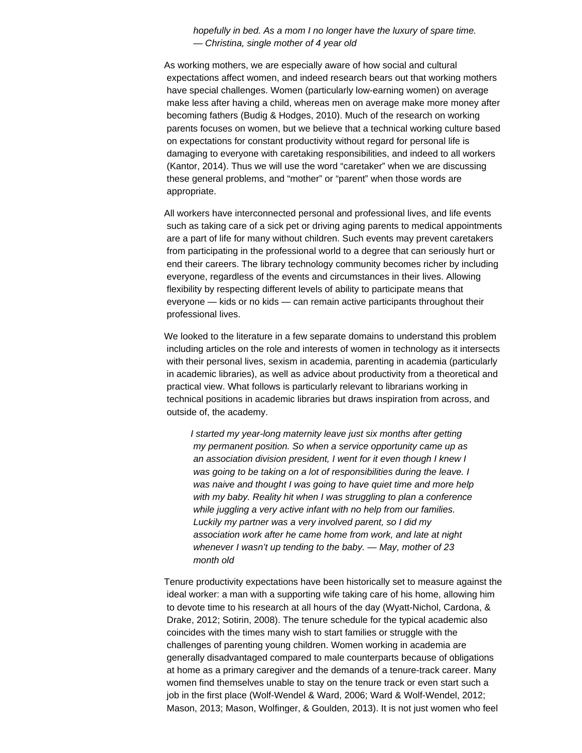*hopefully in bed. As a mom I no longer have the luxury of spare time. — Christina, single mother of 4 year old*

As working mothers, we are especially aware of how social and cultural expectations affect women, and indeed research bears out that working mothers have special challenges. Women (particularly low-earning women) on average make less after having a child, whereas men on average make more money after becoming fathers (Budig & Hodges, 2010). Much of the research on working parents focuses on women, but we believe that a technical working culture based on expectations for constant productivity without regard for personal life is damaging to everyone with caretaking responsibilities, and indeed to all workers (Kantor, 2014). Thus we will use the word "caretaker" when we are discussing these general problems, and "mother" or "parent" when those words are appropriate.

All workers have interconnected personal and professional lives, and life events such as taking care of a sick pet or driving aging parents to medical appointments are a part of life for many without children. Such events may prevent caretakers from participating in the professional world to a degree that can seriously hurt or end their careers. The library technology community becomes richer by including everyone, regardless of the events and circumstances in their lives. Allowing flexibility by respecting different levels of ability to participate means that everyone — kids or no kids — can remain active participants throughout their professional lives.

We looked to the literature in a few separate domains to understand this problem including articles on the role and interests of women in technology as it intersects with their personal lives, sexism in academia, parenting in academia (particularly in academic libraries), as well as advice about productivity from a theoretical and practical view. What follows is particularly relevant to librarians working in technical positions in academic libraries but draws inspiration from across, and outside of, the academy.

*I started my year-long maternity leave just six months after getting my permanent position. So when a service opportunity came up as an association division president, I went for it even though I knew I was going to be taking on a lot of responsibilities during the leave. I was naive and thought I was going to have quiet time and more help with my baby. Reality hit when I was struggling to plan a conference while juggling a very active infant with no help from our families. Luckily my partner was a very involved parent, so I did my association work after he came home from work, and late at night whenever I wasn't up tending to the baby. — May, mother of 23 month old*

Tenure productivity expectations have been historically set to measure against the ideal worker: a man with a supporting wife taking care of his home, allowing him to devote time to his research at all hours of the day (Wyatt-Nichol, Cardona, & Drake, 2012; Sotirin, 2008). The tenure schedule for the typical academic also coincides with the times many wish to start families or struggle with the challenges of parenting young children. Women working in academia are generally disadvantaged compared to male counterparts because of obligations at home as a primary caregiver and the demands of a tenure-track career. Many women find themselves unable to stay on the tenure track or even start such a job in the first place (Wolf-Wendel & Ward, 2006; Ward & Wolf-Wendel, 2012; Mason, 2013; Mason, Wolfinger, & Goulden, 2013). It is not just women who feel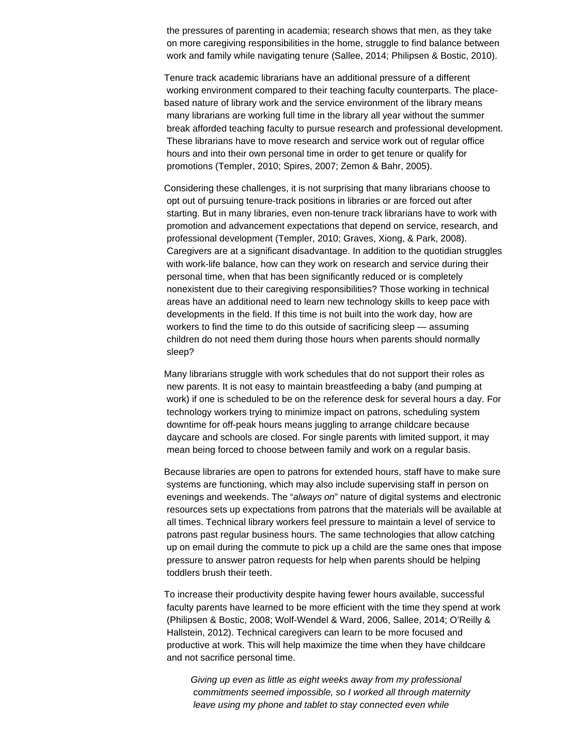the pressures of parenting in academia; research shows that men, as they take on more caregiving responsibilities in the home, struggle to find balance between work and family while navigating tenure (Sallee, 2014; Philipsen & Bostic, 2010).

Tenure track academic librarians have an additional pressure of a different working environment compared to their teaching faculty counterparts. The placebased nature of library work and the service environment of the library means many librarians are working full time in the library all year without the summer break afforded teaching faculty to pursue research and professional development. These librarians have to move research and service work out of regular office hours and into their own personal time in order to get tenure or qualify for promotions (Templer, 2010; Spires, 2007; Zemon & Bahr, 2005).

Considering these challenges, it is not surprising that many librarians choose to opt out of pursuing tenure-track positions in libraries or are forced out after starting. But in many libraries, even non-tenure track librarians have to work with promotion and advancement expectations that depend on service, research, and professional development (Templer, 2010; Graves, Xiong, & Park, 2008). Caregivers are at a significant disadvantage. In addition to the quotidian struggles with work-life balance, how can they work on research and service during their personal time, when that has been significantly reduced or is completely nonexistent due to their caregiving responsibilities? Those working in technical areas have an additional need to learn new technology skills to keep pace with developments in the field. If this time is not built into the work day, how are workers to find the time to do this outside of sacrificing sleep — assuming children do not need them during those hours when parents should normally sleep?

Many librarians struggle with work schedules that do not support their roles as new parents. It is not easy to maintain breastfeeding a baby (and pumping at work) if one is scheduled to be on the reference desk for several hours a day. For technology workers trying to minimize impact on patrons, scheduling system downtime for off-peak hours means juggling to arrange childcare because daycare and schools are closed. For single parents with limited support, it may mean being forced to choose between family and work on a regular basis.

Because libraries are open to patrons for extended hours, staff have to make sure systems are functioning, which may also include supervising staff in person on evenings and weekends. The "*always on*" nature of digital systems and electronic resources sets up expectations from patrons that the materials will be available at all times. Technical library workers feel pressure to maintain a level of service to patrons past regular business hours. The same technologies that allow catching up on email during the commute to pick up a child are the same ones that impose pressure to answer patron requests for help when parents should be helping toddlers brush their teeth.

To increase their productivity despite having fewer hours available, successful faculty parents have learned to be more efficient with the time they spend at work (Philipsen & Bostic, 2008; Wolf-Wendel & Ward, 2006, Sallee, 2014; O'Reilly & Hallstein, 2012). Technical caregivers can learn to be more focused and productive at work. This will help maximize the time when they have childcare and not sacrifice personal time.

*Giving up even as little as eight weeks away from my professional commitments seemed impossible, so I worked all through maternity leave using my phone and tablet to stay connected even while*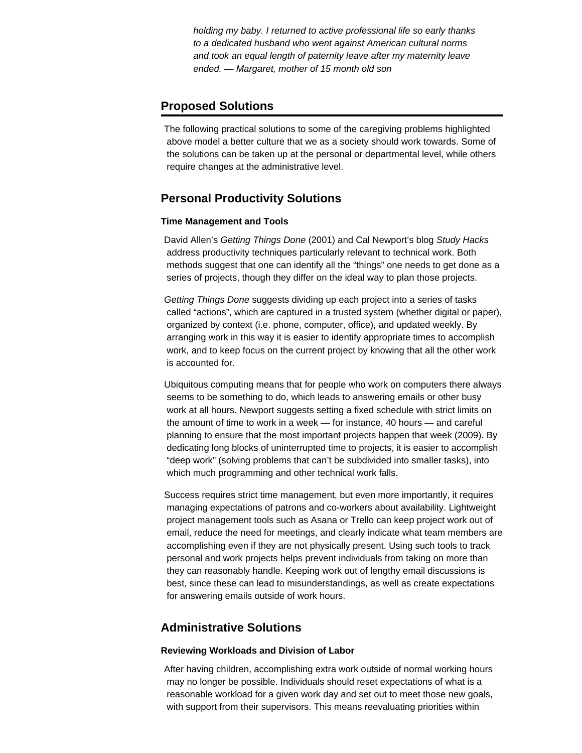*holding my baby. I returned to active professional life so early thanks to a dedicated husband who went against American cultural norms and took an equal length of paternity leave after my maternity leave ended. — Margaret, mother of 15 month old son*

# **Proposed Solutions**

The following practical solutions to some of the caregiving problems highlighted above model a better culture that we as a society should work towards. Some of the solutions can be taken up at the personal or departmental level, while others require changes at the administrative level.

# **Personal Productivity Solutions**

#### **Time Management and Tools**

David Allen's *Getting Things Done* (2001) and Cal Newport's blog *Study Hacks* address productivity techniques particularly relevant to technical work. Both methods suggest that one can identify all the "things" one needs to get done as a series of projects, though they differ on the ideal way to plan those projects.

*Getting Things Done* suggests dividing up each project into a series of tasks called "actions", which are captured in a trusted system (whether digital or paper), organized by context (i.e. phone, computer, office), and updated weekly. By arranging work in this way it is easier to identify appropriate times to accomplish work, and to keep focus on the current project by knowing that all the other work is accounted for.

Ubiquitous computing means that for people who work on computers there always seems to be something to do, which leads to answering emails or other busy work at all hours. Newport suggests setting a fixed schedule with strict limits on the amount of time to work in a week — for instance, 40 hours — and careful planning to ensure that the most important projects happen that week (2009). By dedicating long blocks of uninterrupted time to projects, it is easier to accomplish "deep work" (solving problems that can't be subdivided into smaller tasks), into which much programming and other technical work falls.

Success requires strict time management, but even more importantly, it requires managing expectations of patrons and co-workers about availability. Lightweight project management tools such as Asana or Trello can keep project work out of email, reduce the need for meetings, and clearly indicate what team members are accomplishing even if they are not physically present. Using such tools to track personal and work projects helps prevent individuals from taking on more than they can reasonably handle. Keeping work out of lengthy email discussions is best, since these can lead to misunderstandings, as well as create expectations for answering emails outside of work hours.

# **Administrative Solutions**

#### **Reviewing Workloads and Division of Labor**

After having children, accomplishing extra work outside of normal working hours may no longer be possible. Individuals should reset expectations of what is a reasonable workload for a given work day and set out to meet those new goals, with support from their supervisors. This means reevaluating priorities within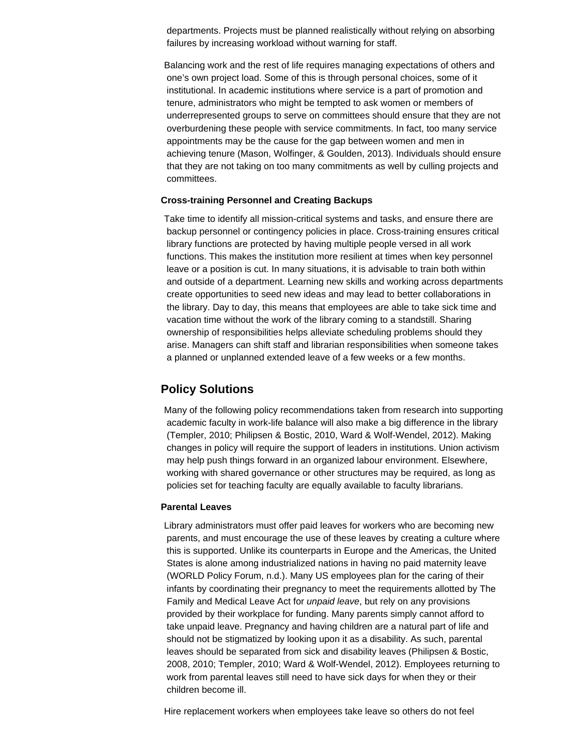departments. Projects must be planned realistically without relying on absorbing failures by increasing workload without warning for staff.

Balancing work and the rest of life requires managing expectations of others and one's own project load. Some of this is through personal choices, some of it institutional. In academic institutions where service is a part of promotion and tenure, administrators who might be tempted to ask women or members of underrepresented groups to serve on committees should ensure that they are not overburdening these people with service commitments. In fact, too many service appointments may be the cause for the gap between women and men in achieving tenure (Mason, Wolfinger, & Goulden, 2013). Individuals should ensure that they are not taking on too many commitments as well by culling projects and committees.

#### **Cross-training Personnel and Creating Backups**

Take time to identify all mission-critical systems and tasks, and ensure there are backup personnel or contingency policies in place. Cross-training ensures critical library functions are protected by having multiple people versed in all work functions. This makes the institution more resilient at times when key personnel leave or a position is cut. In many situations, it is advisable to train both within and outside of a department. Learning new skills and working across departments create opportunities to seed new ideas and may lead to better collaborations in the library. Day to day, this means that employees are able to take sick time and vacation time without the work of the library coming to a standstill. Sharing ownership of responsibilities helps alleviate scheduling problems should they arise. Managers can shift staff and librarian responsibilities when someone takes a planned or unplanned extended leave of a few weeks or a few months.

# **Policy Solutions**

Many of the following policy recommendations taken from research into supporting academic faculty in work-life balance will also make a big difference in the library (Templer, 2010; Philipsen & Bostic, 2010, Ward & Wolf-Wendel, 2012). Making changes in policy will require the support of leaders in institutions. Union activism may help push things forward in an organized labour environment. Elsewhere, working with shared governance or other structures may be required, as long as policies set for teaching faculty are equally available to faculty librarians.

#### **Parental Leaves**

Library administrators must offer paid leaves for workers who are becoming new parents, and must encourage the use of these leaves by creating a culture where this is supported. Unlike its counterparts in Europe and the Americas, the United States is alone among industrialized nations in having no paid maternity leave (WORLD Policy Forum, n.d.). Many US employees plan for the caring of their infants by coordinating their pregnancy to meet the requirements allotted by The Family and Medical Leave Act for *unpaid leave*, but rely on any provisions provided by their workplace for funding. Many parents simply cannot afford to take unpaid leave. Pregnancy and having children are a natural part of life and should not be stigmatized by looking upon it as a disability. As such, parental leaves should be separated from sick and disability leaves (Philipsen & Bostic, 2008, 2010; Templer, 2010; Ward & Wolf-Wendel, 2012). Employees returning to work from parental leaves still need to have sick days for when they or their children become ill.

Hire replacement workers when employees take leave so others do not feel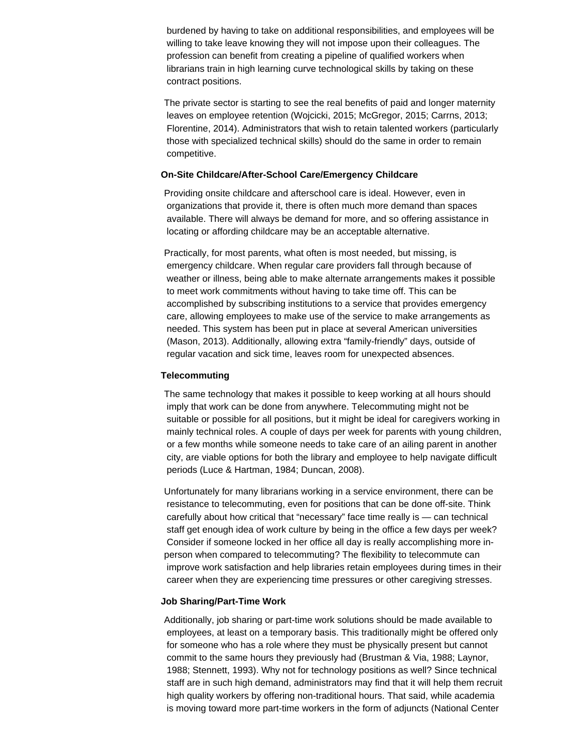burdened by having to take on additional responsibilities, and employees will be willing to take leave knowing they will not impose upon their colleagues. The profession can benefit from creating a pipeline of qualified workers when librarians train in high learning curve technological skills by taking on these contract positions.

The private sector is starting to see the real benefits of paid and longer maternity leaves on employee retention (Wojcicki, 2015; McGregor, 2015; Carrns, 2013; Florentine, 2014). Administrators that wish to retain talented workers (particularly those with specialized technical skills) should do the same in order to remain competitive.

#### **On-Site Childcare/After-School Care/Emergency Childcare**

Providing onsite childcare and afterschool care is ideal. However, even in organizations that provide it, there is often much more demand than spaces available. There will always be demand for more, and so offering assistance in locating or affording childcare may be an acceptable alternative.

Practically, for most parents, what often is most needed, but missing, is emergency childcare. When regular care providers fall through because of weather or illness, being able to make alternate arrangements makes it possible to meet work commitments without having to take time off. This can be accomplished by subscribing institutions to a service that provides emergency care, allowing employees to make use of the service to make arrangements as needed. This system has been put in place at several American universities (Mason, 2013). Additionally, allowing extra "family-friendly" days, outside of regular vacation and sick time, leaves room for unexpected absences.

#### **Telecommuting**

The same technology that makes it possible to keep working at all hours should imply that work can be done from anywhere. Telecommuting might not be suitable or possible for all positions, but it might be ideal for caregivers working in mainly technical roles. A couple of days per week for parents with young children, or a few months while someone needs to take care of an ailing parent in another city, are viable options for both the library and employee to help navigate difficult periods (Luce & Hartman, 1984; Duncan, 2008).

Unfortunately for many librarians working in a service environment, there can be resistance to telecommuting, even for positions that can be done off-site. Think carefully about how critical that "necessary" face time really is — can technical staff get enough idea of work culture by being in the office a few days per week? Consider if someone locked in her office all day is really accomplishing more inperson when compared to telecommuting? The flexibility to telecommute can improve work satisfaction and help libraries retain employees during times in their career when they are experiencing time pressures or other caregiving stresses.

#### **Job Sharing/Part-Time Work**

Additionally, job sharing or part-time work solutions should be made available to employees, at least on a temporary basis. This traditionally might be offered only for someone who has a role where they must be physically present but cannot commit to the same hours they previously had (Brustman & Via, 1988; Laynor, 1988; Stennett, 1993). Why not for technology positions as well? Since technical staff are in such high demand, administrators may find that it will help them recruit high quality workers by offering non-traditional hours. That said, while academia is moving toward more part-time workers in the form of adjuncts (National Center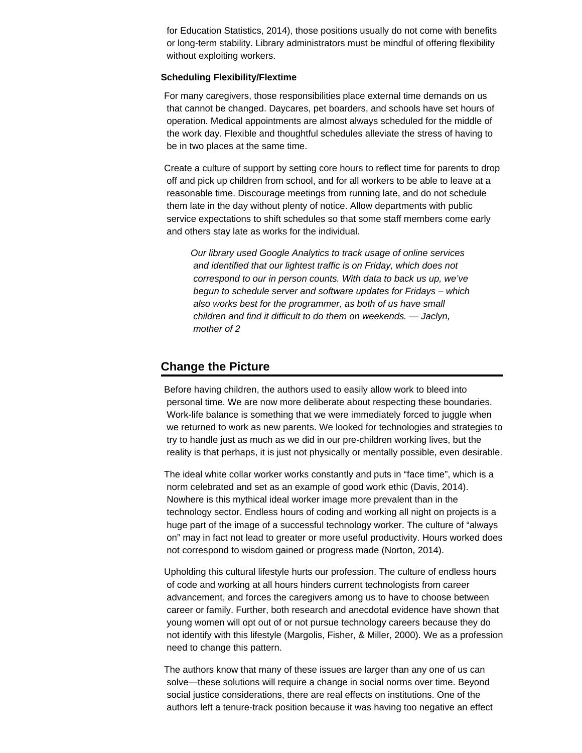for Education Statistics, 2014), those positions usually do not come with benefits or long-term stability. Library administrators must be mindful of offering flexibility without exploiting workers.

#### **Scheduling Flexibility/Flextime**

For many caregivers, those responsibilities place external time demands on us that cannot be changed. Daycares, pet boarders, and schools have set hours of operation. Medical appointments are almost always scheduled for the middle of the work day. Flexible and thoughtful schedules alleviate the stress of having to be in two places at the same time.

Create a culture of support by setting core hours to reflect time for parents to drop off and pick up children from school, and for all workers to be able to leave at a reasonable time. Discourage meetings from running late, and do not schedule them late in the day without plenty of notice. Allow departments with public service expectations to shift schedules so that some staff members come early and others stay late as works for the individual.

*Our library used Google Analytics to track usage of online services and identified that our lightest traffic is on Friday, which does not correspond to our in person counts. With data to back us up, we've begun to schedule server and software updates for Fridays – which also works best for the programmer, as both of us have small children and find it difficult to do them on weekends. — Jaclyn, mother of 2*

# **Change the Picture**

Before having children, the authors used to easily allow work to bleed into personal time. We are now more deliberate about respecting these boundaries. Work-life balance is something that we were immediately forced to juggle when we returned to work as new parents. We looked for technologies and strategies to try to handle just as much as we did in our pre-children working lives, but the reality is that perhaps, it is just not physically or mentally possible, even desirable.

The ideal white collar worker works constantly and puts in "face time", which is a norm celebrated and set as an example of good work ethic (Davis, 2014). Nowhere is this mythical ideal worker image more prevalent than in the technology sector. Endless hours of coding and working all night on projects is a huge part of the image of a successful technology worker. The culture of "always on" may in fact not lead to greater or more useful productivity. Hours worked does not correspond to wisdom gained or progress made (Norton, 2014).

Upholding this cultural lifestyle hurts our profession. The culture of endless hours of code and working at all hours hinders current technologists from career advancement, and forces the caregivers among us to have to choose between career or family. Further, both research and anecdotal evidence have shown that young women will opt out of or not pursue technology careers because they do not identify with this lifestyle (Margolis, Fisher, & Miller, 2000). We as a profession need to change this pattern.

The authors know that many of these issues are larger than any one of us can solve—these solutions will require a change in social norms over time. Beyond social justice considerations, there are real effects on institutions. One of the authors left a tenure-track position because it was having too negative an effect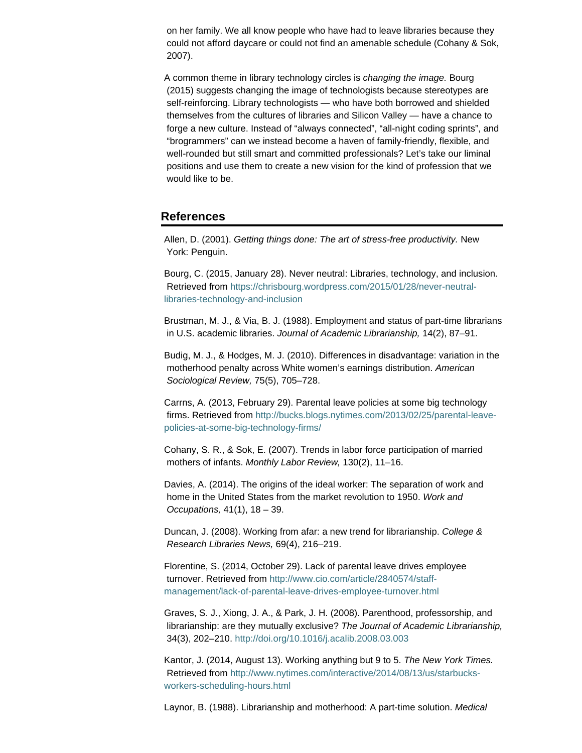on her family. We all know people who have had to leave libraries because they could not afford daycare or could not find an amenable schedule (Cohany & Sok, 2007).

A common theme in library technology circles is *changing the image.* Bourg (2015) suggests changing the image of technologists because stereotypes are self-reinforcing. Library technologists — who have both borrowed and shielded themselves from the cultures of libraries and Silicon Valley — have a chance to forge a new culture. Instead of "always connected", "all-night coding sprints", and "brogrammers" can we instead become a haven of family-friendly, flexible, and well-rounded but still smart and committed professionals? Let's take our liminal positions and use them to create a new vision for the kind of profession that we would like to be.

# **References**

Allen, D. (2001). *Getting things done: The art of stress-free productivity.* New York: Penguin.

Bourg, C. (2015, January 28). Never neutral: Libraries, technology, and inclusion. Retrieved from [https://chrisbourg.wordpress.com/2015/01/28/never-neutral](https://chrisbourg.wordpress.com/2015/01/28/never-neutral-libraries-technology-and-inclusion)[libraries-technology-and-inclusion](https://chrisbourg.wordpress.com/2015/01/28/never-neutral-libraries-technology-and-inclusion)

Brustman, M. J., & Via, B. J. (1988). Employment and status of part-time librarians in U.S. academic libraries. *Journal of Academic Librarianship,* 14(2), 87–91.

Budig, M. J., & Hodges, M. J. (2010). Differences in disadvantage: variation in the motherhood penalty across White women's earnings distribution. *American Sociological Review,* 75(5), 705–728.

Carrns, A. (2013, February 29). Parental leave policies at some big technology firms. Retrieved from [http://bucks.blogs.nytimes.com/2013/02/25/parental-leave](http://bucks.blogs.nytimes.com/2013/02/25/parental-leave-policies-at-some-big-technology-firms/)[policies-at-some-big-technology-firms/](http://bucks.blogs.nytimes.com/2013/02/25/parental-leave-policies-at-some-big-technology-firms/)

Cohany, S. R., & Sok, E. (2007). Trends in labor force participation of married mothers of infants. *Monthly Labor Review,* 130(2), 11–16.

Davies, A. (2014). The origins of the ideal worker: The separation of work and home in the United States from the market revolution to 1950. *Work and Occupations,* 41(1), 18 – 39.

Duncan, J. (2008). Working from afar: a new trend for librarianship. *College & Research Libraries News,* 69(4), 216–219.

Florentine, S. (2014, October 29). Lack of parental leave drives employee turnover. Retrieved from [http://www.cio.com/article/2840574/staff](http://www.cio.com/article/2840574/staff-management/lack-of-parental-leave-drives-employee-turnover.html)[management/lack-of-parental-leave-drives-employee-turnover.html](http://www.cio.com/article/2840574/staff-management/lack-of-parental-leave-drives-employee-turnover.html)

Graves, S. J., Xiong, J. A., & Park, J. H. (2008). Parenthood, professorship, and librarianship: are they mutually exclusive? *The Journal of Academic Librarianship,* 34(3), 202–210.<http://doi.org/10.1016/j.acalib.2008.03.003>

Kantor, J. (2014, August 13). Working anything but 9 to 5. *The New York Times.* Retrieved from [http://www.nytimes.com/interactive/2014/08/13/us/starbucks](http://www.nytimes.com/interactive/2014/08/13/us/starbucks-workers-scheduling-hours.html)[workers-scheduling-hours.html](http://www.nytimes.com/interactive/2014/08/13/us/starbucks-workers-scheduling-hours.html)

Laynor, B. (1988). Librarianship and motherhood: A part-time solution. *Medical*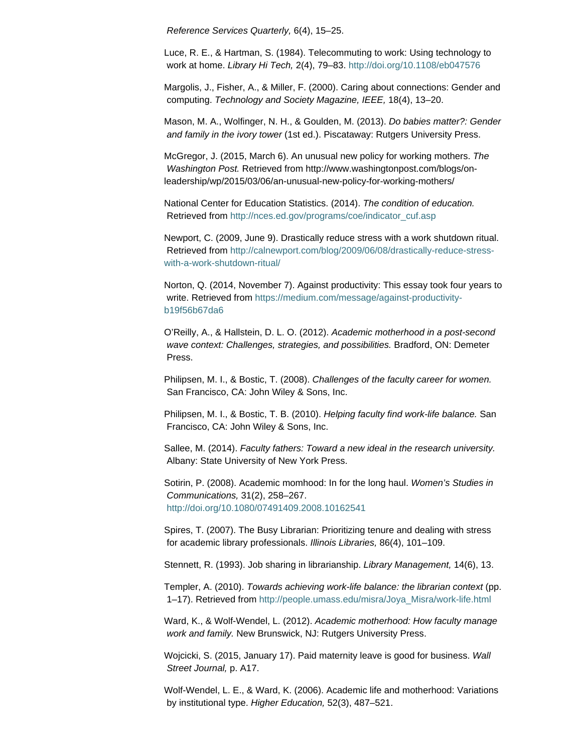*Reference Services Quarterly,* 6(4), 15–25.

Luce, R. E., & Hartman, S. (1984). Telecommuting to work: Using technology to work at home. *Library Hi Tech,* 2(4), 79–83.<http://doi.org/10.1108/eb047576>

Margolis, J., Fisher, A., & Miller, F. (2000). Caring about connections: Gender and computing. *Technology and Society Magazine, IEEE,* 18(4), 13–20.

Mason, M. A., Wolfinger, N. H., & Goulden, M. (2013). *Do babies matter?: Gender and family in the ivory tower* (1st ed.). Piscataway: Rutgers University Press.

McGregor, J. (2015, March 6). An unusual new policy for working mothers. *The Washington Post.* Retrieved from http://www.washingtonpost.com/blogs/onleadership/wp/2015/03/06/an-unusual-new-policy-for-working-mothers/

National Center for Education Statistics. (2014). *The condition of education.* Retrieved from [http://nces.ed.gov/programs/coe/indicator\\_cuf.asp](http://nces.ed.gov/programs/coe/indicator_cuf.asp)

Newport, C. (2009, June 9). Drastically reduce stress with a work shutdown ritual. Retrieved from [http://calnewport.com/blog/2009/06/08/drastically-reduce-stress](http://calnewport.com/blog/2009/06/08/drastically-reduce-stress-with-a-work-shutdown-ritual/)[with-a-work-shutdown-ritual/](http://calnewport.com/blog/2009/06/08/drastically-reduce-stress-with-a-work-shutdown-ritual/)

Norton, Q. (2014, November 7). Against productivity: This essay took four years to write. Retrieved from [https://medium.com/message/against-productivity](https://medium.com/message/against-productivity-b19f56b67da6)[b19f56b67da6](https://medium.com/message/against-productivity-b19f56b67da6)

O'Reilly, A., & Hallstein, D. L. O. (2012). *Academic motherhood in a post-second wave context: Challenges, strategies, and possibilities.* Bradford, ON: Demeter Press.

Philipsen, M. I., & Bostic, T. (2008). *Challenges of the faculty career for women.* San Francisco, CA: John Wiley & Sons, Inc.

Philipsen, M. I., & Bostic, T. B. (2010). *Helping faculty find work-life balance.* San Francisco, CA: John Wiley & Sons, Inc.

Sallee, M. (2014). *Faculty fathers: Toward a new ideal in the research university.* Albany: State University of New York Press.

Sotirin, P. (2008). Academic momhood: In for the long haul. *Women's Studies in Communications,* 31(2), 258–267. <http://doi.org/10.1080/07491409.2008.10162541>

Spires, T. (2007). The Busy Librarian: Prioritizing tenure and dealing with stress for academic library professionals. *Illinois Libraries,* 86(4), 101–109.

Stennett, R. (1993). Job sharing in librarianship. *Library Management,* 14(6), 13.

Templer, A. (2010). *Towards achieving work-life balance: the librarian context* (pp. 1–17). Retrieved from [http://people.umass.edu/misra/Joya\\_Misra/work-life.html](http://people.umass.edu/misra/Joya_Misra/work-life.html)

Ward, K., & Wolf-Wendel, L. (2012). *Academic motherhood: How faculty manage work and family.* New Brunswick, NJ: Rutgers University Press.

Wojcicki, S. (2015, January 17). Paid maternity leave is good for business. *Wall Street Journal,* p. A17.

Wolf-Wendel, L. E., & Ward, K. (2006). Academic life and motherhood: Variations by institutional type. *Higher Education,* 52(3), 487–521.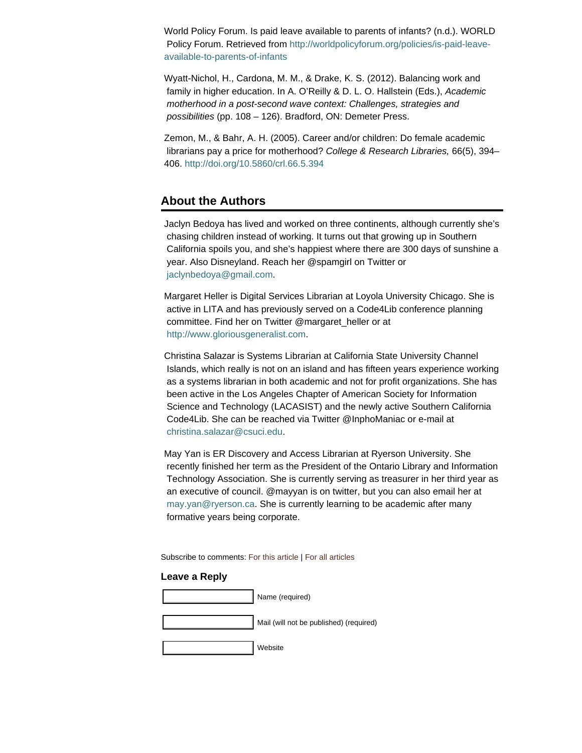World Policy Forum. Is paid leave available to parents of infants? (n.d.). WORLD Policy Forum. Retrieved from [http://worldpolicyforum.org/policies/is-paid-leave](http://worldpolicyforum.org/policies/is-paid-leave-available-to-parents-of-infants)[available-to-parents-of-infants](http://worldpolicyforum.org/policies/is-paid-leave-available-to-parents-of-infants)

Wyatt-Nichol, H., Cardona, M. M., & Drake, K. S. (2012). Balancing work and family in higher education. In A. O'Reilly & D. L. O. Hallstein (Eds.), *Academic motherhood in a post-second wave context: Challenges, strategies and possibilities* (pp. 108 – 126). Bradford, ON: Demeter Press.

Zemon, M., & Bahr, A. H. (2005). Career and/or children: Do female academic librarians pay a price for motherhood? *College & Research Libraries,* 66(5), 394– 406.<http://doi.org/10.5860/crl.66.5.394>

# **About the Authors**

Jaclyn Bedoya has lived and worked on three continents, although currently she's chasing children instead of working. It turns out that growing up in Southern California spoils you, and she's happiest where there are 300 days of sunshine a year. Also Disneyland. Reach her @spamgirl on Twitter or [jaclynbedoya@gmail.com](mailto:jaclynbedoya@gmail.com).

Margaret Heller is Digital Services Librarian at Loyola University Chicago. She is active in LITA and has previously served on a Code4Lib conference planning committee. Find her on Twitter @margaret\_heller or at [http://www.gloriousgeneralist.com](http://www.gloriousgeneralist.com/).

Christina Salazar is Systems Librarian at California State University Channel Islands, which really is not on an island and has fifteen years experience working as a systems librarian in both academic and not for profit organizations. She has been active in the Los Angeles Chapter of American Society for Information Science and Technology (LACASIST) and the newly active Southern California Code4Lib. She can be reached via Twitter @InphoManiac or e-mail at [christina.salazar@csuci.edu](mailto:christina.salazar@csuci.edu).

May Yan is ER Discovery and Access Librarian at Ryerson University. She recently finished her term as the President of the Ontario Library and Information Technology Association. She is currently serving as treasurer in her third year as an executive of council. @mayyan is on twitter, but you can also email her at [may.yan@ryerson.ca](mailto:may.yan@ryerson.ca). She is currently learning to be academic after many formative years being corporate.

Subscribe to comments: [For this article](http://journal.code4lib.org/articles/10409/feed) | [For all articles](http://feeds.feedburner.com/c4lj/comments)

#### **Leave a Reply**

| Name (required)                         |
|-----------------------------------------|
| Mail (will not be published) (required) |
| Website                                 |